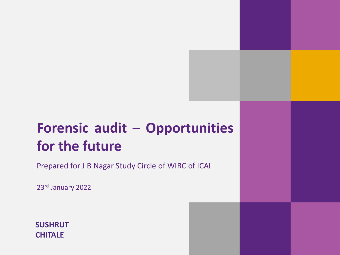# **Forensic audit – Opportunities for the future**

Prepared for J B Nagar Study Circle of WIRC of ICAI

23rd January 2022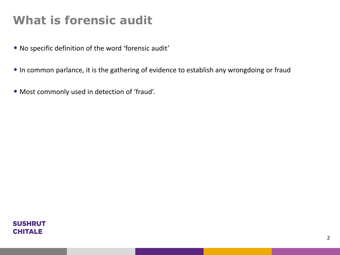### **What is forensic audit**

- No specific definition of the word 'forensic audit'
- In common parlance, it is the gathering of evidence to establish any wrongdoing or fraud
- Most commonly used in detection of 'fraud'.

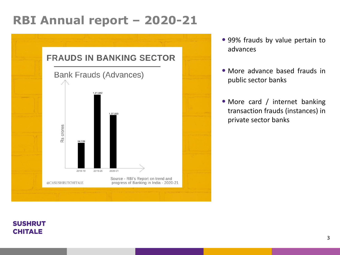#### **RBI Annual report – 2020-21**



- 99% frauds by value pertain to advances
- More advance based frauds in public sector banks
- More card / internet banking transaction frauds (instances) in private sector banks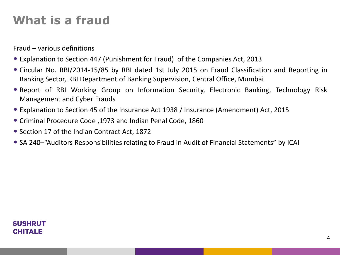### **What is a fraud**

Fraud – various definitions

- Explanation to Section 447 (Punishment for Fraud) of the Companies Act, 2013
- Circular No. RBI/2014-15/85 by RBI dated 1st July 2015 on Fraud Classification and Reporting in Banking Sector, RBI Department of Banking Supervision, Central Office, Mumbai
- Report of RBI Working Group on Information Security, Electronic Banking, Technology Risk Management and Cyber Frauds
- Explanation to Section 45 of the Insurance Act 1938 / Insurance (Amendment) Act, 2015
- Criminal Procedure Code ,1973 and Indian Penal Code, 1860
- Section 17 of the Indian Contract Act, 1872
- SA 240–"Auditors Responsibilities relating to Fraud in Audit of Financial Statements" by ICAI

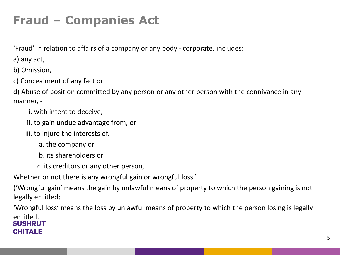# **Fraud – Companies Act**

'Fraud' in relation to affairs of a company or any body - corporate, includes:

a) any act,

b) Omission,

c) Concealment of any fact or

d) Abuse of position committed by any person or any other person with the connivance in any manner, -

i. with intent to deceive,

- ii. to gain undue advantage from, or
- iii. to injure the interests of,
	- a. the company or
	- b. its shareholders or
	- c. its creditors or any other person,

Whether or not there is any wrongful gain or wrongful loss.'

('Wrongful gain' means the gain by unlawful means of property to which the person gaining is not legally entitled;

'Wrongful loss' means the loss by unlawful means of property to which the person losing is legally entitled. SUSHRUT

#### CHITALE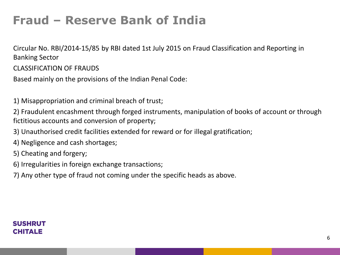### **Fraud – Reserve Bank of India**

Circular No. RBI/2014-15/85 by RBI dated 1st July 2015 on Fraud Classification and Reporting in Banking Sector

CLASSIFICATION OF FRAUDS

Based mainly on the provisions of the Indian Penal Code:

1) Misappropriation and criminal breach of trust;

2) Fraudulent encashment through forged instruments, manipulation of books of account or through fictitious accounts and conversion of property;

3) Unauthorised credit facilities extended for reward or for illegal gratification;

- 4) Negligence and cash shortages;
- 5) Cheating and forgery;
- 6) Irregularities in foreign exchange transactions;
- 7) Any other type of fraud not coming under the specific heads as above.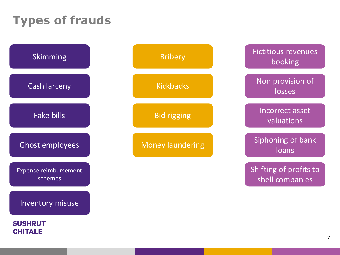# **Types of frauds**

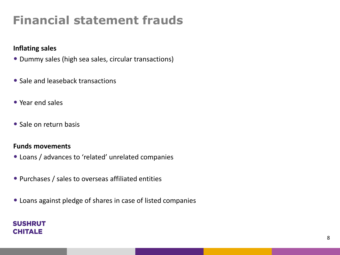### **Financial statement frauds**

#### **Inflating sales**

- Dummy sales (high sea sales, circular transactions)
- Sale and leaseback transactions
- Year end sales
- Sale on return basis

#### **Funds movements**

- Loans / advances to 'related' unrelated companies
- Purchases / sales to overseas affiliated entities
- Loans against pledge of shares in case of listed companies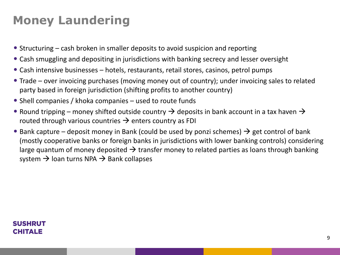# **Money Laundering**

- Structuring cash broken in smaller deposits to avoid suspicion and reporting
- Cash smuggling and depositing in jurisdictions with banking secrecy and lesser oversight
- Cash intensive businesses hotels, restaurants, retail stores, casinos, petrol pumps
- Trade over invoicing purchases (moving money out of country); under invoicing sales to related party based in foreign jurisdiction (shifting profits to another country)
- Shell companies / khoka companies used to route funds
- Round tripping money shifted outside country  $\rightarrow$  deposits in bank account in a tax haven  $\rightarrow$ routed through various countries  $\rightarrow$  enters country as FDI
- Bank capture deposit money in Bank (could be used by ponzi schemes)  $\rightarrow$  get control of bank (mostly cooperative banks or foreign banks in jurisdictions with lower banking controls) considering large quantum of money deposited  $\rightarrow$  transfer money to related parties as loans through banking system  $\rightarrow$  loan turns NPA  $\rightarrow$  Bank collapses

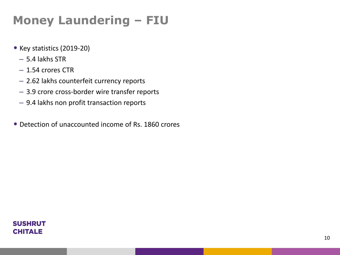# **Money Laundering – FIU**

- Key statistics (2019-20)
	- 5.4 lakhs STR
	- 1.54 crores CTR
	- 2.62 lakhs counterfeit currency reports
	- 3.9 crore cross-border wire transfer reports
	- 9.4 lakhs non profit transaction reports
- Detection of unaccounted income of Rs. 1860 crores

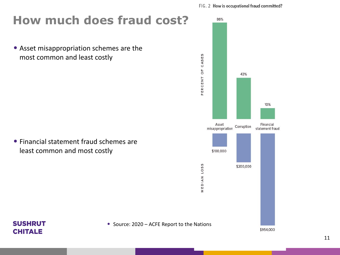### **How much does fraud cost?**

• Asset misappropriation schemes are the most common and least costly

• Financial statement fraud schemes are least common and most costly

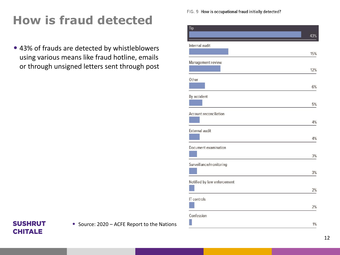# **How is fraud detected**

• 43% of frauds are detected by whistleblowers using various means like fraud hotline, emails or through unsigned letters sent through post FIG. 9 How is occupational fraud initially detected?

| Tip                           | 43% |
|-------------------------------|-----|
| Internal audit                | 15% |
| Management review             | 12% |
| Other                         |     |
| By accident                   | 6%  |
|                               | 5%  |
| <b>Account reconciliation</b> | 4%  |
| External audit                | 4%  |
| Document examination          | 3%  |
| Surveillance/monitoring       |     |
| Notified by law enforcement   | 3%  |
| IT controls                   | 2%  |
|                               | 2%  |
| Confession                    | 1%  |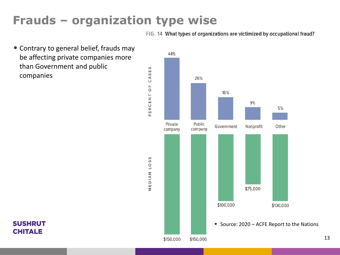### **Frauds – organization type wise**

FIG. 14 What types of organizations are victimized by occupational fraud?

• Contrary to general belief, frauds may be affecting private companies more than Government and public companies

**SUSHRUT CHITALE** 



13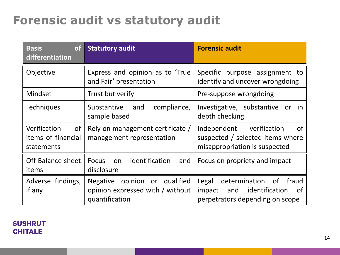### **Forensic audit vs statutory audit**

| <b>of</b><br><b>Basis</b><br>differentiation           | <b>Statutory audit</b>                                                                        | <b>Forensic audit</b>                                                                                          |
|--------------------------------------------------------|-----------------------------------------------------------------------------------------------|----------------------------------------------------------------------------------------------------------------|
| Objective                                              | Express and opinion as to 'True<br>and Fair' presentation                                     | Specific purpose assignment to<br>identify and uncover wrongdoing                                              |
| Mindset                                                | Trust but verify                                                                              | Pre-suppose wrongdoing                                                                                         |
| <b>Techniques</b>                                      | Substantive<br>compliance,<br>and<br>sample based                                             | Investigative, substantive<br>or<br>in.<br>depth checking                                                      |
| Verification<br>0f<br>items of financial<br>statements | Rely on management certificate /<br>management representation                                 | Independent verification<br>0f<br>suspected / selected items where<br>misappropriation is suspected            |
| Off Balance sheet<br>items                             | identification<br><b>Focus</b><br>and<br>on<br>disclosure                                     | Focus on propriety and impact                                                                                  |
| Adverse findings,<br>if any                            | opinion or qualified<br><b>Negative</b><br>opinion expressed with / without<br>quantification | Legal<br>determination<br>0f<br>fraud<br>and identification<br>impact<br>0t<br>perpetrators depending on scope |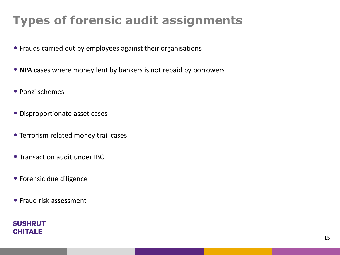# **Types of forensic audit assignments**

- Frauds carried out by employees against their organisations
- NPA cases where money lent by bankers is not repaid by borrowers
- Ponzi schemes
- Disproportionate asset cases
- Terrorism related money trail cases
- Transaction audit under IBC
- Forensic due diligence
- Fraud risk assessment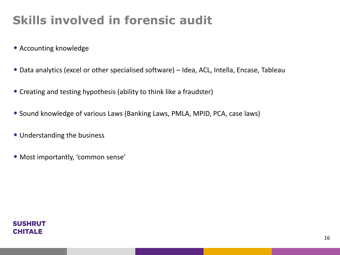# **Skills involved in forensic audit**

- Accounting knowledge
- Data analytics (excel or other specialised software) Idea, ACL, Intella, Encase, Tableau
- Creating and testing hypothesis (ability to think like a fraudster)
- Sound knowledge of various Laws (Banking Laws, PMLA, MPID, PCA, case laws)
- Understanding the business
- Most importantly, 'common sense'

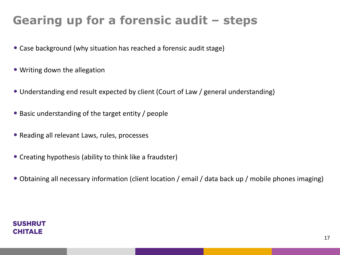# **Gearing up for a forensic audit – steps**

- Case background (why situation has reached a forensic audit stage)
- Writing down the allegation
- Understanding end result expected by client (Court of Law / general understanding)
- Basic understanding of the target entity / people
- Reading all relevant Laws, rules, processes
- Creating hypothesis (ability to think like a fraudster)
- Obtaining all necessary information (client location / email / data back up / mobile phones imaging)

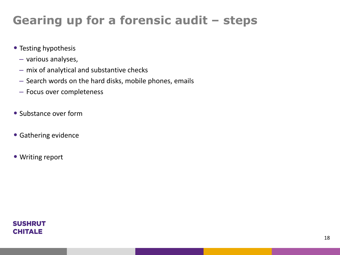# **Gearing up for a forensic audit – steps**

- Testing hypothesis
	- various analyses,
	- mix of analytical and substantive checks
	- Search words on the hard disks, mobile phones, emails
	- Focus over completeness
- Substance over form
- Gathering evidence
- Writing report

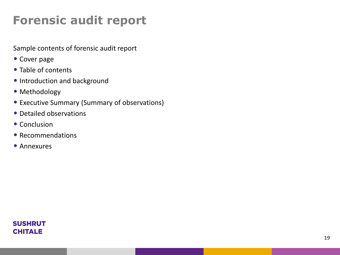## **Forensic audit report**

Sample contents of forensic audit report

- Cover page
- Table of contents
- Introduction and background
- Methodology
- Executive Summary (Summary of observations)
- Detailed observations
- Conclusion
- Recommendations
- Annexures

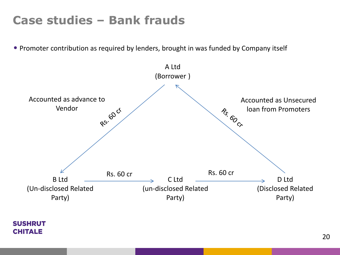#### **Case studies – Bank frauds**

• Promoter contribution as required by lenders, brought in was funded by Company itself

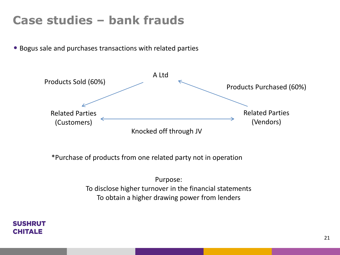### **Case studies – bank frauds**

• Bogus sale and purchases transactions with related parties



\*Purchase of products from one related party not in operation

Purpose: To disclose higher turnover in the financial statements To obtain a higher drawing power from lenders

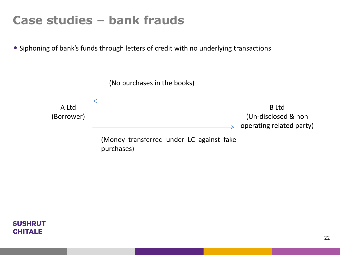#### **Case studies – bank frauds**

• Siphoning of bank's funds through letters of credit with no underlying transactions



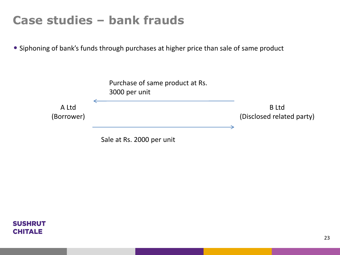### **Case studies – bank frauds**

• Siphoning of bank's funds through purchases at higher price than sale of same product



Sale at Rs. 2000 per unit

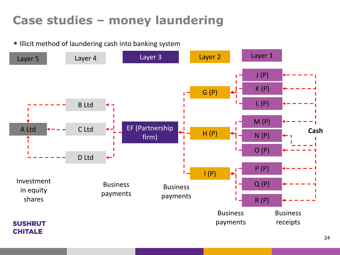### **Case studies – money laundering**

• Illicit method of laundering cash into banking system

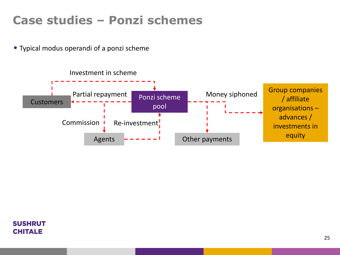### **Case studies – Ponzi schemes**

• Typical modus operandi of a ponzi scheme



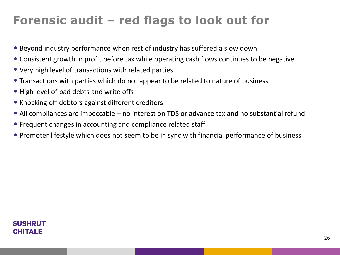### **Forensic audit – red flags to look out for**

- Beyond industry performance when rest of industry has suffered a slow down
- Consistent growth in profit before tax while operating cash flows continues to be negative
- Very high level of transactions with related parties
- Transactions with parties which do not appear to be related to nature of business
- High level of bad debts and write offs
- Knocking off debtors against different creditors
- All compliances are impeccable no interest on TDS or advance tax and no substantial refund
- Frequent changes in accounting and compliance related staff
- Promoter lifestyle which does not seem to be in sync with financial performance of business